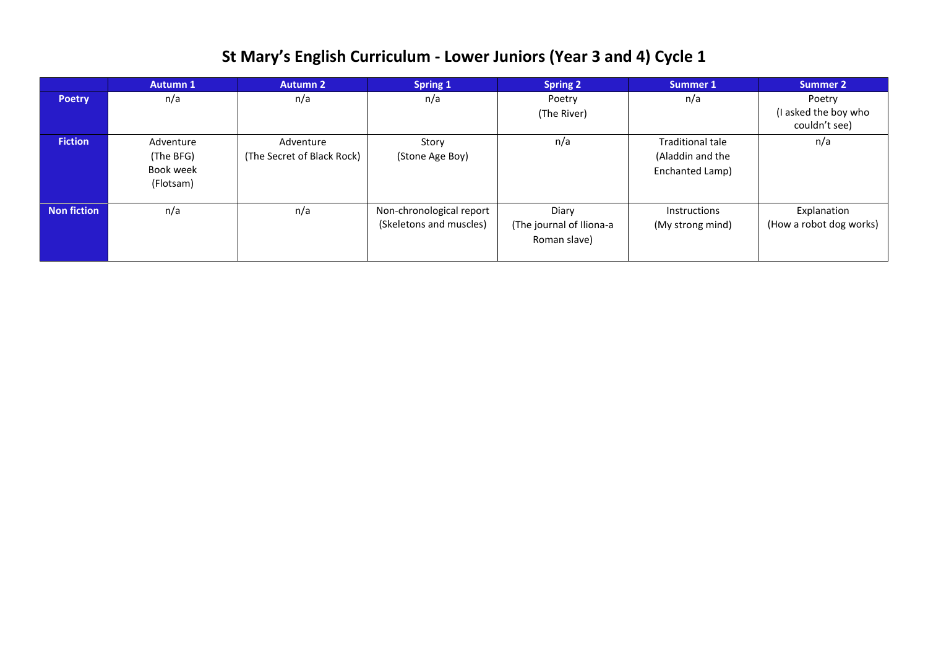## **St Mary's English Curriculum - Lower Juniors (Year 3 and 4) Cycle 1**

|                    | <b>Autumn 1</b>                                  | <b>Autumn 2</b>                         | <b>Spring 1</b>                                     | <b>Spring 2</b>                                   | Summer 1                                                | Summer 2                                        |
|--------------------|--------------------------------------------------|-----------------------------------------|-----------------------------------------------------|---------------------------------------------------|---------------------------------------------------------|-------------------------------------------------|
| <b>Poetry</b>      | n/a                                              | n/a                                     | n/a                                                 | Poetry<br>(The River)                             | n/a                                                     | Poetry<br>(I asked the boy who<br>couldn't see) |
| <b>Fiction</b>     | Adventure<br>(The BFG)<br>Book week<br>(Flotsam) | Adventure<br>(The Secret of Black Rock) | Story<br>(Stone Age Boy)                            | n/a                                               | Traditional tale<br>(Aladdin and the<br>Enchanted Lamp) | n/a                                             |
| <b>Non fiction</b> | n/a                                              | n/a                                     | Non-chronological report<br>(Skeletons and muscles) | Diary<br>(The journal of Iliona-a<br>Roman slave) | <b>Instructions</b><br>(My strong mind)                 | Explanation<br>(How a robot dog works)          |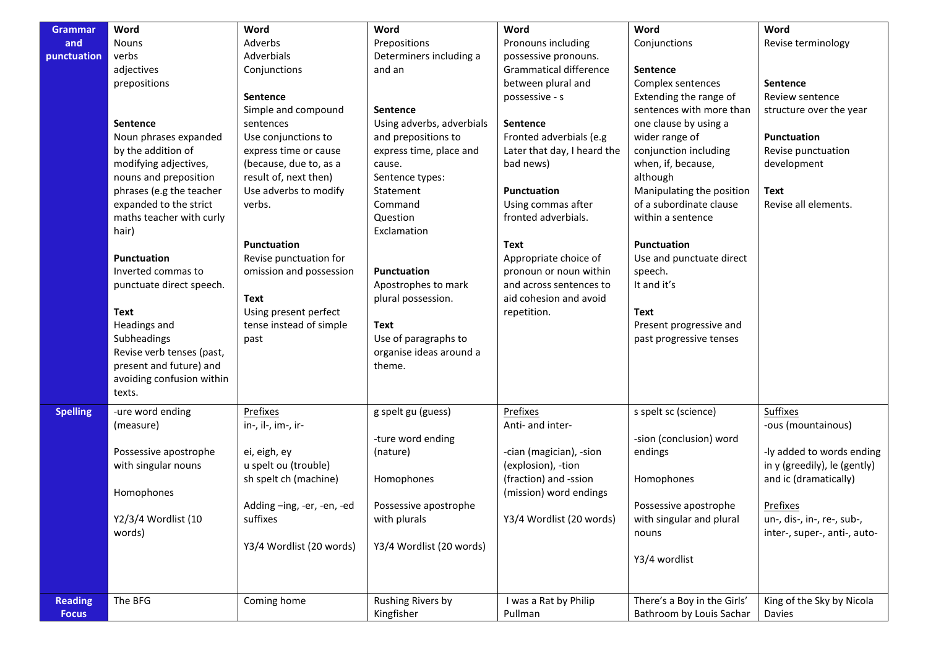| <b>Grammar</b>  | Word                      | Word                       | Word                      | Word                        | Word                        | Word                         |
|-----------------|---------------------------|----------------------------|---------------------------|-----------------------------|-----------------------------|------------------------------|
| and             | <b>Nouns</b>              | Adverbs                    | Prepositions              | Pronouns including          | Conjunctions                | Revise terminology           |
| punctuation     | verbs                     | Adverbials                 | Determiners including a   | possessive pronouns.        |                             |                              |
|                 | adjectives                | Conjunctions               | and an                    | Grammatical difference      | Sentence                    |                              |
|                 | prepositions              |                            |                           | between plural and          | Complex sentences           | Sentence                     |
|                 |                           | <b>Sentence</b>            |                           | possessive - s              | Extending the range of      | Review sentence              |
|                 |                           | Simple and compound        | <b>Sentence</b>           |                             | sentences with more than    | structure over the year      |
|                 | <b>Sentence</b>           | sentences                  | Using adverbs, adverbials | <b>Sentence</b>             | one clause by using a       |                              |
|                 | Noun phrases expanded     | Use conjunctions to        | and prepositions to       | Fronted adverbials (e.g     | wider range of              | <b>Punctuation</b>           |
|                 | by the addition of        | express time or cause      | express time, place and   | Later that day, I heard the | conjunction including       | Revise punctuation           |
|                 | modifying adjectives,     | (because, due to, as a     | cause.                    | bad news)                   | when, if, because,          | development                  |
|                 | nouns and preposition     | result of, next then)      | Sentence types:           |                             | although                    |                              |
|                 | phrases (e.g the teacher  | Use adverbs to modify      | Statement                 | <b>Punctuation</b>          | Manipulating the position   | <b>Text</b>                  |
|                 | expanded to the strict    | verbs.                     | Command                   | Using commas after          | of a subordinate clause     | Revise all elements.         |
|                 | maths teacher with curly  |                            | Question                  | fronted adverbials.         | within a sentence           |                              |
|                 | hair)                     |                            | Exclamation               |                             |                             |                              |
|                 |                           | Punctuation                |                           | Text                        | Punctuation                 |                              |
|                 | <b>Punctuation</b>        | Revise punctuation for     |                           | Appropriate choice of       | Use and punctuate direct    |                              |
|                 | Inverted commas to        | omission and possession    | <b>Punctuation</b>        | pronoun or noun within      | speech.                     |                              |
|                 | punctuate direct speech.  |                            | Apostrophes to mark       | and across sentences to     | It and it's                 |                              |
|                 |                           | Text                       | plural possession.        | aid cohesion and avoid      |                             |                              |
|                 | Text                      | Using present perfect      |                           | repetition.                 | Text                        |                              |
|                 | Headings and              | tense instead of simple    | Text                      |                             | Present progressive and     |                              |
|                 | Subheadings               | past                       | Use of paragraphs to      |                             | past progressive tenses     |                              |
|                 | Revise verb tenses (past, |                            | organise ideas around a   |                             |                             |                              |
|                 | present and future) and   |                            | theme.                    |                             |                             |                              |
|                 | avoiding confusion within |                            |                           |                             |                             |                              |
|                 | texts.                    |                            |                           |                             |                             |                              |
|                 |                           |                            |                           |                             |                             |                              |
| <b>Spelling</b> | -ure word ending          | Prefixes                   | g spelt gu (guess)        | Prefixes                    | s spelt sc (science)        | <b>Suffixes</b>              |
|                 | (measure)                 | in-, il-, im-, ir-         |                           | Anti- and inter-            |                             | -ous (mountainous)           |
|                 |                           |                            | -ture word ending         |                             | -sion (conclusion) word     |                              |
|                 | Possessive apostrophe     | ei, eigh, ey               | (nature)                  | -cian (magician), -sion     | endings                     | -ly added to words ending    |
|                 | with singular nouns       | u spelt ou (trouble)       |                           | (explosion), -tion          |                             | in y (greedily), le (gently) |
|                 |                           | sh spelt ch (machine)      | Homophones                | (fraction) and -ssion       | Homophones                  | and ic (dramatically)        |
|                 | Homophones                |                            |                           | (mission) word endings      |                             |                              |
|                 |                           | Adding -ing, -er, -en, -ed | Possessive apostrophe     |                             | Possessive apostrophe       | Prefixes                     |
|                 | Y2/3/4 Wordlist (10       | suffixes                   | with plurals              | Y3/4 Wordlist (20 words)    | with singular and plural    | un-, dis-, in-, re-, sub-,   |
|                 | words)                    |                            |                           |                             | nouns                       | inter-, super-, anti-, auto- |
|                 |                           | Y3/4 Wordlist (20 words)   | Y3/4 Wordlist (20 words)  |                             |                             |                              |
|                 |                           |                            |                           |                             | Y3/4 wordlist               |                              |
|                 |                           |                            |                           |                             |                             |                              |
| <b>Reading</b>  | The BFG                   | Coming home                | Rushing Rivers by         | I was a Rat by Philip       | There's a Boy in the Girls' | King of the Sky by Nicola    |
| <b>Focus</b>    |                           |                            | Kingfisher                | Pullman                     | Bathroom by Louis Sachar    | Davies                       |
|                 |                           |                            |                           |                             |                             |                              |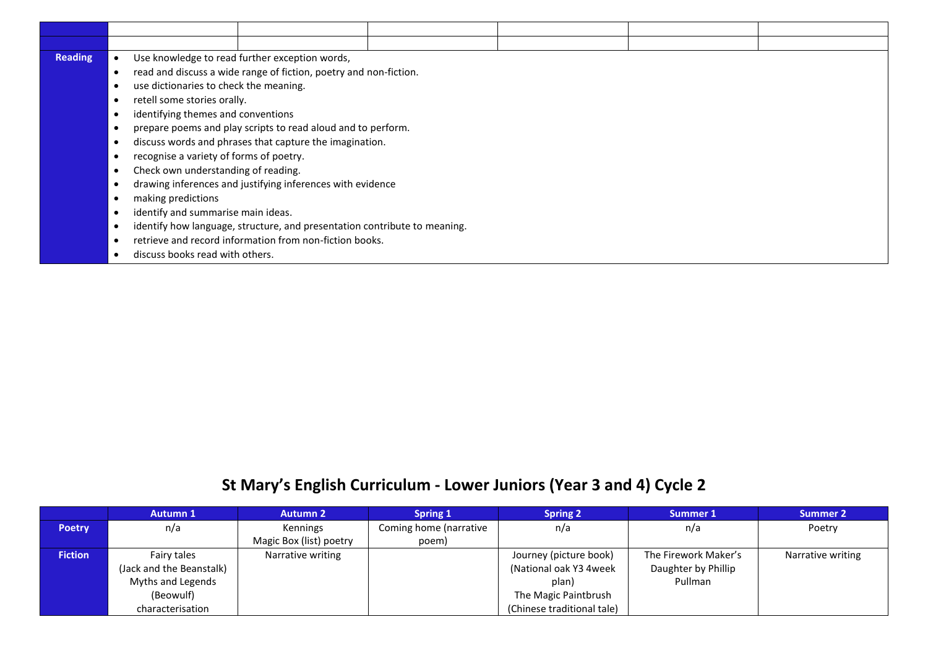| <b>Reading</b> | Use knowledge to read further exception words,<br>$\bullet$ |                                                                           |  |  |  |  |  |
|----------------|-------------------------------------------------------------|---------------------------------------------------------------------------|--|--|--|--|--|
|                |                                                             | read and discuss a wide range of fiction, poetry and non-fiction.         |  |  |  |  |  |
|                | use dictionaries to check the meaning.                      |                                                                           |  |  |  |  |  |
|                | retell some stories orally.                                 |                                                                           |  |  |  |  |  |
|                | identifying themes and conventions                          |                                                                           |  |  |  |  |  |
|                |                                                             | prepare poems and play scripts to read aloud and to perform.              |  |  |  |  |  |
|                | ٠                                                           | discuss words and phrases that capture the imagination.                   |  |  |  |  |  |
|                | recognise a variety of forms of poetry.                     |                                                                           |  |  |  |  |  |
|                | Check own understanding of reading.                         |                                                                           |  |  |  |  |  |
|                | drawing inferences and justifying inferences with evidence  |                                                                           |  |  |  |  |  |
|                | making predictions                                          |                                                                           |  |  |  |  |  |
|                | identify and summarise main ideas.                          |                                                                           |  |  |  |  |  |
|                |                                                             | identify how language, structure, and presentation contribute to meaning. |  |  |  |  |  |
|                |                                                             | retrieve and record information from non-fiction books.                   |  |  |  |  |  |
|                | discuss books read with others.                             |                                                                           |  |  |  |  |  |

## **St Mary's English Curriculum - Lower Juniors (Year 3 and 4) Cycle 2**

|                | <b>Autumn 1</b>          | <b>Autumn 2</b>         | <b>Spring 1</b>        | <b>Spring 2</b>            | Summer 1             | <b>Summer 2</b>   |
|----------------|--------------------------|-------------------------|------------------------|----------------------------|----------------------|-------------------|
| <b>Poetry</b>  | n/a                      | Kennings                | Coming home (narrative | n/a                        | n/a                  | Poetry            |
|                |                          | Magic Box (list) poetry | poem)                  |                            |                      |                   |
| <b>Fiction</b> | Fairy tales              | Narrative writing       |                        | Journey (picture book)     | The Firework Maker's | Narrative writing |
|                | (Jack and the Beanstalk) |                         |                        | (National oak Y3 4week     | Daughter by Phillip  |                   |
|                | Myths and Legends        |                         |                        | plan)                      | Pullman              |                   |
|                | (Beowulf)                |                         |                        | The Magic Paintbrush       |                      |                   |
|                | characterisation         |                         |                        | (Chinese traditional tale) |                      |                   |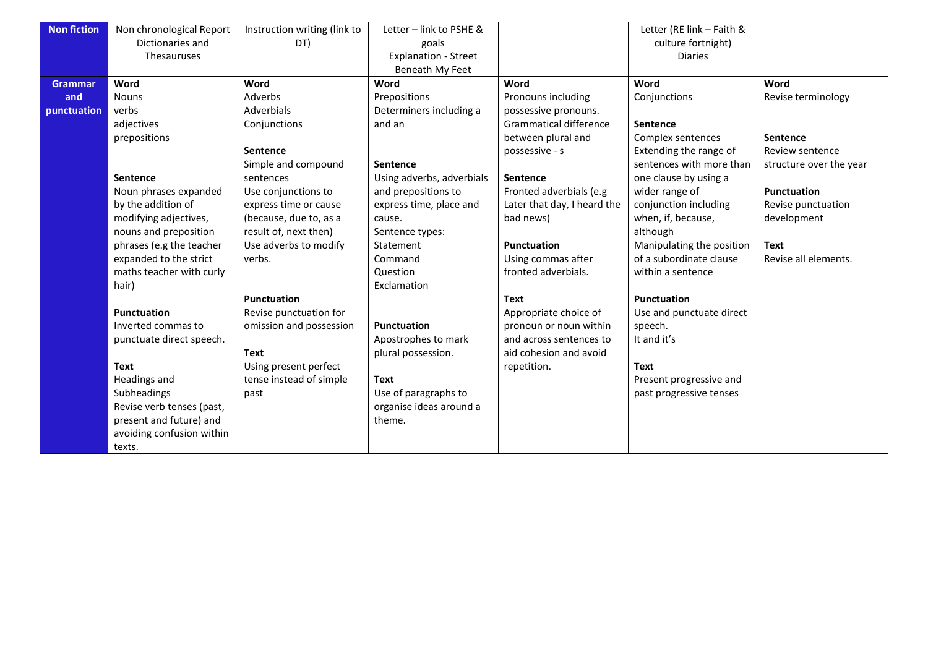| <b>Non fiction</b> | Non chronological Report  | Instruction writing (link to | Letter - link to PSHE &     |                               | Letter (RE link - Faith & |                         |
|--------------------|---------------------------|------------------------------|-----------------------------|-------------------------------|---------------------------|-------------------------|
|                    | Dictionaries and          | DT)                          | goals                       |                               | culture fortnight)        |                         |
|                    | Thesauruses               |                              | <b>Explanation - Street</b> |                               | <b>Diaries</b>            |                         |
|                    |                           |                              | Beneath My Feet             |                               |                           |                         |
| <b>Grammar</b>     | Word                      | Word                         | Word                        | Word                          | Word                      | Word                    |
| and                | <b>Nouns</b>              | Adverbs                      | Prepositions                | Pronouns including            | Conjunctions              | Revise terminology      |
| punctuation        | verbs                     | Adverbials                   | Determiners including a     | possessive pronouns.          |                           |                         |
|                    | adjectives                | Conjunctions                 | and an                      | <b>Grammatical difference</b> | <b>Sentence</b>           |                         |
|                    | prepositions              |                              |                             | between plural and            | Complex sentences         | Sentence                |
|                    |                           | Sentence                     |                             | possessive - s                | Extending the range of    | Review sentence         |
|                    |                           | Simple and compound          | Sentence                    |                               | sentences with more than  | structure over the year |
|                    | <b>Sentence</b>           | sentences                    | Using adverbs, adverbials   | <b>Sentence</b>               | one clause by using a     |                         |
|                    | Noun phrases expanded     | Use conjunctions to          | and prepositions to         | Fronted adverbials (e.g       | wider range of            | <b>Punctuation</b>      |
|                    | by the addition of        | express time or cause        | express time, place and     | Later that day, I heard the   | conjunction including     | Revise punctuation      |
|                    | modifying adjectives,     | (because, due to, as a       | cause.                      | bad news)                     | when, if, because,        | development             |
|                    | nouns and preposition     | result of, next then)        | Sentence types:             |                               | although                  |                         |
|                    | phrases (e.g the teacher  | Use adverbs to modify        | Statement                   | <b>Punctuation</b>            | Manipulating the position | <b>Text</b>             |
|                    | expanded to the strict    | verbs.                       | Command                     | Using commas after            | of a subordinate clause   | Revise all elements.    |
|                    | maths teacher with curly  |                              | Question                    | fronted adverbials.           | within a sentence         |                         |
|                    | hair)                     |                              | Exclamation                 |                               |                           |                         |
|                    |                           | <b>Punctuation</b>           |                             | <b>Text</b>                   | <b>Punctuation</b>        |                         |
|                    | Punctuation               | Revise punctuation for       |                             | Appropriate choice of         | Use and punctuate direct  |                         |
|                    | Inverted commas to        | omission and possession      | Punctuation                 | pronoun or noun within        | speech.                   |                         |
|                    | punctuate direct speech.  |                              | Apostrophes to mark         | and across sentences to       | It and it's               |                         |
|                    |                           | <b>Text</b>                  | plural possession.          | aid cohesion and avoid        |                           |                         |
|                    | <b>Text</b>               | Using present perfect        |                             | repetition.                   | <b>Text</b>               |                         |
|                    | Headings and              | tense instead of simple      | <b>Text</b>                 |                               | Present progressive and   |                         |
|                    | Subheadings               | past                         | Use of paragraphs to        |                               | past progressive tenses   |                         |
|                    | Revise verb tenses (past, |                              | organise ideas around a     |                               |                           |                         |
|                    | present and future) and   |                              | theme.                      |                               |                           |                         |
|                    | avoiding confusion within |                              |                             |                               |                           |                         |
|                    | texts.                    |                              |                             |                               |                           |                         |